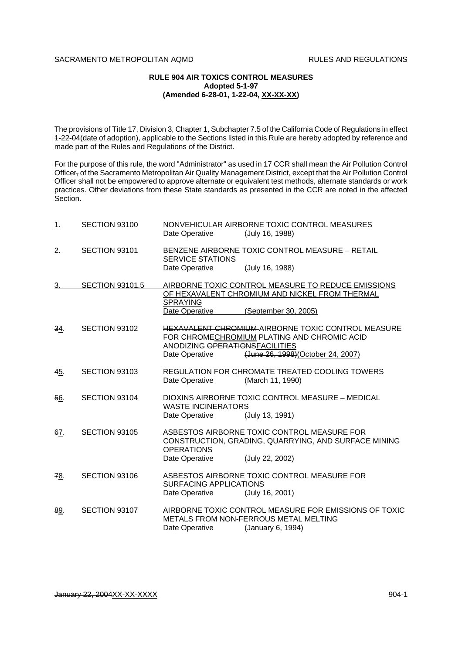## SACRAMENTO METROPOLITAN AOMD **RULES AND REGULATIONS**

## **RULE 904 AIR TOXICS CONTROL MEASURES Adopted 5-1-97 (Amended 6-28-01, 1-22-04, XX-XX-XX)**

The provisions of Title 17, Division 3, Chapter 1, Subchapter 7.5 of the California Code of Regulations in effect 1-22-04 (date of adoption), applicable to the Sections listed in this Rule are hereby adopted by reference and made part of the Rules and Regulations of the District.

For the purpose of this rule, the word "Administrator" as used in 17 CCR shall mean the Air Pollution Control Officer, of the Sacramento Metropolitan Air Quality Management District, except that the Air Pollution Control Officer shall not be empowered to approve alternate or equivalent test methods, alternate standards or work practices. Other deviations from these State standards as presented in the CCR are noted in the affected Section.

| 1.  | SECTION 93100          | Date Operative                                   | NONVEHICULAR AIRBORNE TOXIC CONTROL MEASURES<br>(July 16, 1988)                                                                                |
|-----|------------------------|--------------------------------------------------|------------------------------------------------------------------------------------------------------------------------------------------------|
| 2.  | SECTION 93101          | <b>SERVICE STATIONS</b><br>Date Operative        | BENZENE AIRBORNE TOXIC CONTROL MEASURE - RETAIL<br>(July 16, 1988)                                                                             |
|     |                        |                                                  |                                                                                                                                                |
| 3.  | <b>SECTION 93101.5</b> |                                                  | AIRBORNE TOXIC CONTROL MEASURE TO REDUCE EMISSIONS<br>OF HEXAVALENT CHROMIUM AND NICKEL FROM THERMAL                                           |
|     |                        | <b>SPRAYING</b>                                  |                                                                                                                                                |
|     |                        | Date Operative                                   | (September 30, 2005)                                                                                                                           |
| 34. | SECTION 93102          | ANODIZING OPERATIONSFACILITIES<br>Date Operative | <b>HEXAVALENT CHROMIUM-AIRBORNE TOXIC CONTROL MEASURE</b><br>FOR CHROMECHROMIUM PLATING AND CHROMIC ACID<br>(June 26, 1998) (October 24, 2007) |
| 45. | SECTION 93103          | Date Operative                                   | REGULATION FOR CHROMATE TREATED COOLING TOWERS<br>(March 11, 1990)                                                                             |
| 56. | SECTION 93104          | <b>WASTE INCINERATORS</b>                        | DIOXINS AIRBORNE TOXIC CONTROL MEASURE - MEDICAL                                                                                               |
|     |                        | Date Operative                                   | (July 13, 1991)                                                                                                                                |
| 67. | SECTION 93105          | <b>OPERATIONS</b>                                | ASBESTOS AIRBORNE TOXIC CONTROL MEASURE FOR<br>CONSTRUCTION, GRADING, QUARRYING, AND SURFACE MINING                                            |
|     |                        | Date Operative                                   | (July 22, 2002)                                                                                                                                |
| 78. | SECTION 93106          | <b>SURFACING APPLICATIONS</b><br>Date Operative  | ASBESTOS AIRBORNE TOXIC CONTROL MEASURE FOR<br>(July 16, 2001)                                                                                 |
| 89. | SECTION 93107          | Date Operative                                   | AIRBORNE TOXIC CONTROL MEASURE FOR EMISSIONS OF TOXIC<br>METALS FROM NON-FERROUS METAL MELTING<br>(January 6, 1994)                            |
|     |                        |                                                  |                                                                                                                                                |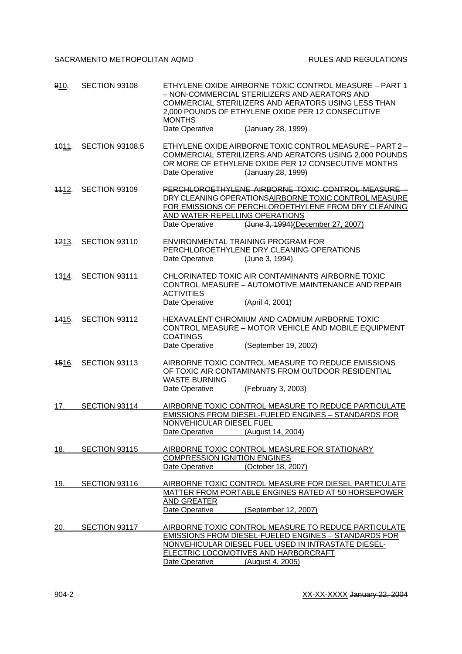SACRAMENTO METROPOLITAN AQMD RULES AND REGULATIONS

| 910.              | SECTION 93108          | ETHYLENE OXIDE AIRBORNE TOXIC CONTROL MEASURE - PART 1<br>- NON-COMMERCIAL STERILIZERS AND AERATORS AND<br>COMMERCIAL STERILIZERS AND AERATORS USING LESS THAN<br>2,000 POUNDS OF ETHYLENE OXIDE PER 12 CONSECUTIVE<br><b>MONTHS</b><br>(January 28, 1999)<br>Date Operative |
|-------------------|------------------------|------------------------------------------------------------------------------------------------------------------------------------------------------------------------------------------------------------------------------------------------------------------------------|
| <del>10</del> 11. | <b>SECTION 93108.5</b> | ETHYLENE OXIDE AIRBORNE TOXIC CONTROL MEASURE - PART 2-<br>COMMERCIAL STERILIZERS AND AERATORS USING 2,000 POUNDS<br>OR MORE OF ETHYLENE OXIDE PER 12 CONSECUTIVE MONTHS<br>Date Operative<br>(January 28, 1999)                                                             |
| <del>11</del> 12. | SECTION 93109          | PERCHLOROETHYLENE AIRBORNE TOXIC CONTROL MEASURE<br>DRY CLEANING OPERATIONS AIRBORNE TOXIC CONTROL MEASURE<br>FOR EMISSIONS OF PERCHLOROETHYLENE FROM DRY CLEANING<br>AND WATER-REPELLING OPERATIONS<br>(June 3, 1994) (December 27, 2007)<br>Date Operative                 |
| <del>12</del> 13. | SECTION 93110          | ENVIRONMENTAL TRAINING PROGRAM FOR<br>PERCHLOROETHYLENE DRY CLEANING OPERATIONS<br>Date Operative<br>(June 3, 1994)                                                                                                                                                          |
| 4314.             | SECTION 93111          | CHLORINATED TOXIC AIR CONTAMINANTS AIRBORNE TOXIC<br>CONTROL MEASURE - AUTOMOTIVE MAINTENANCE AND REPAIR<br><b>ACTIVITIES</b><br>Date Operative<br>(April 4, 2001)                                                                                                           |
| <u>4415.</u>      | SECTION 93112          | HEXAVALENT CHROMIUM AND CADMIUM AIRBORNE TOXIC<br>CONTROL MEASURE - MOTOR VEHICLE AND MOBILE EQUIPMENT<br><b>COATINGS</b><br>Date Operative<br>(September 19, 2002)                                                                                                          |
| <del>1516</del> . | SECTION 93113          | AIRBORNE TOXIC CONTROL MEASURE TO REDUCE EMISSIONS<br>OF TOXIC AIR CONTAMINANTS FROM OUTDOOR RESIDENTIAL<br><b>WASTE BURNING</b><br>(February 3, 2003)<br>Date Operative                                                                                                     |
| 17.               | SECTION 93114          | AIRBORNE TOXIC CONTROL MEASURE TO REDUCE PARTICULATE<br><b>EMISSIONS FROM DIESEL-FUELED ENGINES - STANDARDS FOR</b><br>NONVEHICULAR DIESEL FUEL<br>(August 14, 2004)<br>Date Operative                                                                                       |
| 18.               | SECTION 93115          | AIRBORNE TOXIC CONTROL MEASURE FOR STATIONARY<br><b>COMPRESSION IGNITION ENGINES</b><br>Date Operative<br>(October 18, 2007)                                                                                                                                                 |
| 19.               | SECTION 93116          | AIRBORNE TOXIC CONTROL MEASURE FOR DIESEL PARTICULATE<br>MATTER FROM PORTABLE ENGINES RATED AT 50 HORSEPOWER<br>AND GREATER<br>Date Operative<br>(September 12, 2007)                                                                                                        |
| 20.               | SECTION 93117          | AIRBORNE TOXIC CONTROL MEASURE TO REDUCE PARTICULATE<br>EMISSIONS FROM DIESEL-FUELED ENGINES - STANDARDS FOR<br>NONVEHICULAR DIESEL FUEL USED IN INTRASTATE DIESEL-<br>ELECTRIC LOCOMOTIVES AND HARBORCRAFT<br>Date Operative<br>(August 4, 2005)                            |